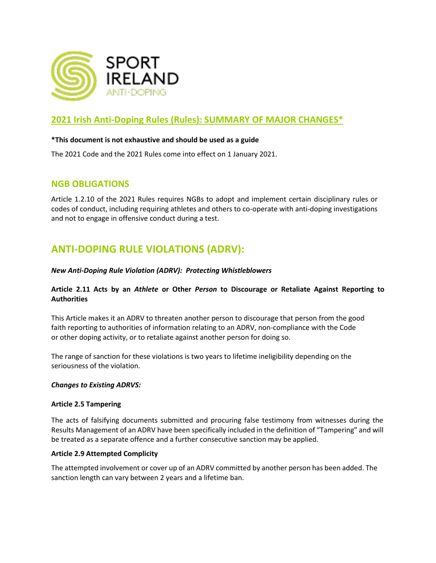

### **2021 Irish Anti-Doping Rules (Rules): SUMMARY OF MAJOR CHANGES\***

#### **\*This document is not exhaustive and should be used as a guide**

The 2021 Code and the 2021 Rules come into effect on 1 January 2021.

### **NGB OBLIGATIONS**

Article 1.2.10 of the 2021 Rules requires NGBs to adopt and implement certain disciplinary rules or codes of conduct, including requiring athletes and others to co-operate with anti-doping investigations and not to engage in offensive conduct during a test.

# **ANTI-DOPING RULE VIOLATIONS (ADRV):**

#### *New Anti-Doping Rule Violation (ADRV): Protecting Whistleblowers*

#### **Article 2.11 Acts by an** *Athlete* **or Other** *Person* **to Discourage or Retaliate Against Reporting to Authorities**

This Article makes it an ADRV to threaten another person to discourage that person from the good faith reporting to authorities of information relating to an ADRV, non-compliance with the Code or other doping activity, or to retaliate against another person for doing so.

The range of sanction for these violations is two years to lifetime ineligibility depending on the seriousness of the violation.

#### *Changes to Existing ADRVS:*

#### **Article 2.5 Tampering**

The acts of falsifying documents submitted and procuring false testimony from witnesses during the Results Management of an ADRV have been specifically included in the definition of "Tampering" and will be treated as a separate offence and a further consecutive sanction may be applied.

#### **Article 2.9 Attempted Complicity**

The attempted involvement or cover up of an ADRV committed by another person has been added. The sanction length can vary between 2 years and a lifetime ban.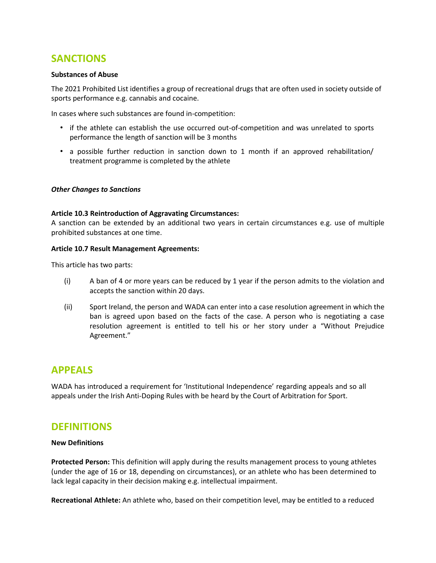## **SANCTIONS**

#### **Substances of Abuse**

The 2021 Prohibited List identifies a group of recreational drugs that are often used in society outside of sports performance e.g. cannabis and cocaine.

In cases where such substances are found in-competition:

- if the athlete can establish the use occurred out-of-competition and was unrelated to sports performance the length of sanction will be 3 months
- a possible further reduction in sanction down to 1 month if an approved rehabilitation/ treatment programme is completed by the athlete

#### *Other Changes to Sanctions*

#### **Article 10.3 Reintroduction of Aggravating Circumstances:**

A sanction can be extended by an additional two years in certain circumstances e.g. use of multiple prohibited substances at one time.

#### **Article 10.7 Result Management Agreements:**

This article has two parts:

- $(i)$  A ban of 4 or more years can be reduced by 1 year if the person admits to the violation and accepts the sanction within 20 days.
- (ii) Sport Ireland, the person and WADA can enter into a case resolution agreement in which the ban is agreed upon based on the facts of the case. A person who is negotiating a case resolution agreement is entitled to tell his or her story under a "Without Prejudice Agreement."

### **APPEALS**

WADA has introduced a requirement for 'Institutional Independence' regarding appeals and so all appeals under the Irish Anti-Doping Rules with be heard by the Court of Arbitration for Sport.

### **DEFINITIONS**

#### **New Definitions**

**Protected Person:** This definition will apply during the results management process to young athletes (under the age of 16 or 18, depending on circumstances), or an athlete who has been determined to lack legal capacity in their decision making e.g. intellectual impairment.

**Recreational Athlete:** An athlete who, based on their competition level, may be entitled to a reduced